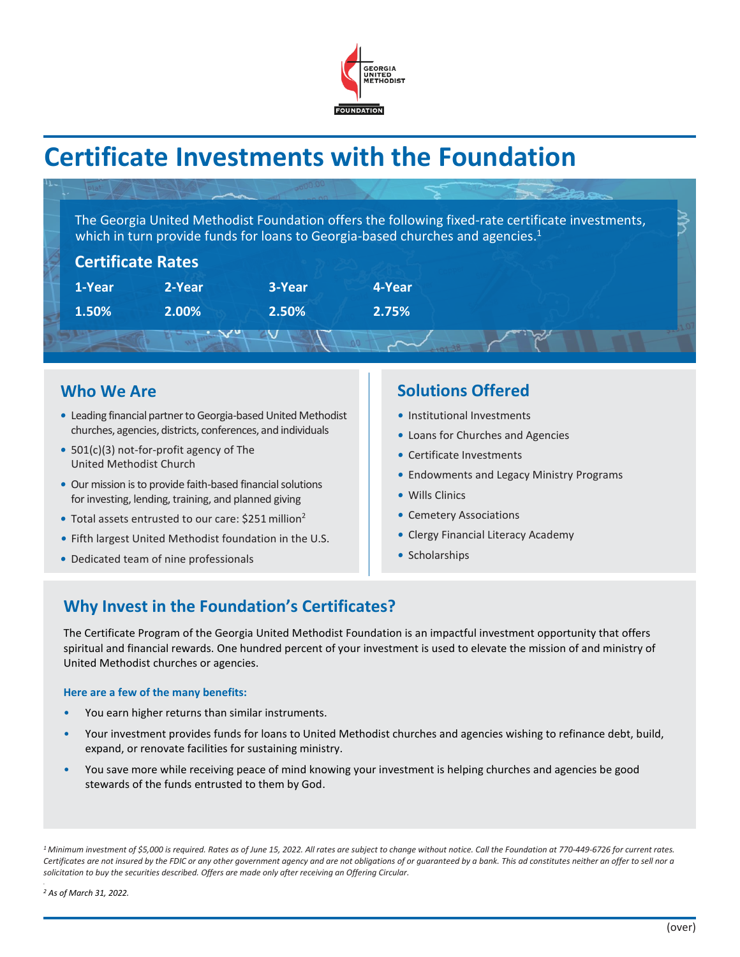

# **Certificate Investments with the Foundation**

The Georgia United Methodist Foundation offers the following fixed-rate certificate investments, which in turn provide funds for loans to Georgia-based churches and agencies.<sup>1</sup>

| <b>Certificate Rates</b> |        |        |        |  |
|--------------------------|--------|--------|--------|--|
| 1-Year                   | 2-Year | 3-Year | 4-Year |  |
| 1.50%                    | 2.00%  | 2.50%  | 2.75%  |  |
|                          |        |        |        |  |

## **Who We Are**

- Leading financial partner to Georgia-based United Methodist churches, agencies, districts, conferences, and individuals
- *•* 501(c)(3) not-for-profit agency of The United Methodist Church
- *•* Our mission is to provide faith-based financial solutions for investing, lending, training, and planned giving
- Total assets entrusted to our care: \$251 million<sup>2</sup>
- *•* Fifth largest United Methodist foundation in the U.S.
- *•* Dedicated team of nine professionals

## **Solutions Offered**

- *•* Institutional Investments
- *•* Loans for Churches and Agencies
- *•* Certificate Investments
- *•* Endowments and Legacy Ministry Programs
- *•* Wills Clinics
- *•* Cemetery Associations
- *•* Clergy Financial Literacy Academy
- *•* Scholarships

# **Why Invest in the Foundation's Certificates?**

The Certificate Program of the Georgia United Methodist Foundation is an impactful investment opportunity that offers spiritual and financial rewards. One hundred percent of your investment is used to elevate the mission of and ministry of United Methodist churches or agencies.

#### **Here are a few of the many benefits:**

- You earn higher returns than similar instruments.
- Your investment provides funds for loans to United Methodist churches and agencies wishing to refinance debt, build, expand, or renovate facilities for sustaining ministry.
- You save more while receiving peace of mind knowing your investment is helping churches and agencies be good stewards of the funds entrusted to them by God.

*<sup>1</sup> Minimum investment of \$5,000 is required. Rates as of June 15, 2022. All rates are subject to change without notice. Call the Foundation at 770-449-6726 for current rates.*  Certificates are not insured by the FDIC or any other government agency and are not obligations of or guaranteed by a bank. This ad constitutes neither an offer to sell nor a *solicitation to buy the securities described. Offers are made only after receiving an Offering Circular.*

*<sup>2</sup> As of March 31, 2022.*

*.*